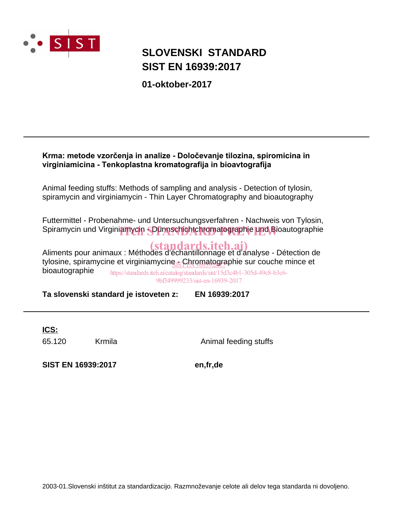

# **SIST EN 16939:2017 SLOVENSKI STANDARD**

**01-oktober-2017**

# Krma: metode vzorčenja in analize - Določevanje tilozina, spiromicina in virginiamicina - Tenkoplastna kromatografija in bioavtografija

Animal feeding stuffs: Methods of sampling and analysis - Detection of tylosin, spiramycin and virginiamycin - Thin Layer Chromatography and bioautography

Futtermittel - Probenahme- und Untersuchungsverfahren - Nachweis von Tylosin, Spiramycin und Virginiamycin SDünnschichtchromatographie und Bioautographie

Aliments pour animaux : Méthodes d'échantillonnage et d'analyse - Détection de tylosine, spiramycine et virginiamycine<sub>.IS</sub>Chromatographie sur couche mince et bioautographie

https://standards.iteh.ai/catalog/standards/sist/15d3c4b1-305d-49c8-b3c6- 9bf349999233/sist-en-16939-2017

**Ta slovenski standard je istoveten z: EN 16939:2017**

**ICS:**

65.120 Krmila Animal feeding stuffs

**SIST EN 16939:2017 en,fr,de**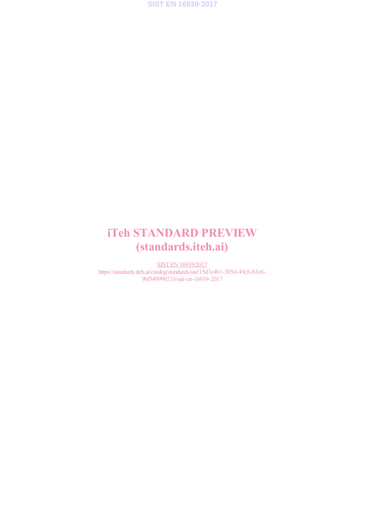

# iTeh STANDARD PREVIEW (standards.iteh.ai)

SIST EN 16939:2017 https://standards.iteh.ai/catalog/standards/sist/15d3c4b1-305d-49c8-b3c6-9bf349999233/sist-en-16939-2017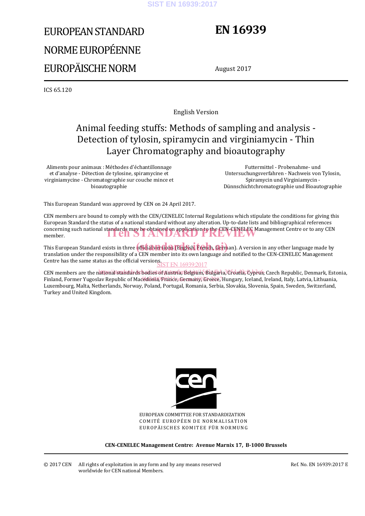#### **SIST EN 16939:2017**

# EUROPEAN STANDARD NORME EUROPÉENNE EUROPÄISCHE NORM

# **EN 16939**

August 2017

ICS 65.120

English Version

# Animal feeding stuffs: Methods of sampling and analysis - Detection of tylosin, spiramycin and virginiamycin - Thin Layer Chromatography and bioautography

Aliments pour animaux : Méthodes d'échantillonnage et d'analyse - Détection de tylosine, spiramycine et virginiamycine - Chromatographie sur couche mince et bioautographie

 Futtermittel - Probenahme- und Untersuchungsverfahren - Nachweis von Tylosin, Spiramycin und Virginiamycin - Dünnschichtchromatographie und Bioautographie

This European Standard was approved by CEN on 24 April 2017.

CEN members are bound to comply with the CEN/CENELEC Internal Regulations which stipulate the conditions for giving this European Standard the status of a national standard without any alteration. Up-to-date lists and bibliographical references concerning such national standards may be obtained on application to the CEN-CENELEC Management Centre or to any CEN member. member.

This European Standard exists in three **official versions (English, French, Germ**an). A version in any other language made by translation under the responsibility of a CEN member into its own language and notified to the CEN-CENELEC Management Centre has the same status as the official versions.<br>SIST EN 16939:2017

CEN members are the national standards bodies of Austria, Belgium, Bulgaria, Croatia, Cyprus, Czech Republic, Denmark, Estonia, Finland, Former Yugoslav Republic of Macedonia, France, Germany, Greece, Hungary, Iceland, Ireland, Italy, Latvia, Lithuania, Luxembourg, Malta, Netherlands, Norway, Poland, Portugal, Romania, Serbia, Slovakia, Slovenia, Spain, Sweden, Switzerland, Turkey and United Kingdom.



EUROPEAN COMMITTEE FOR STANDARDIZATION COMITÉ EUROPÉEN DE NORMALISATION EUROPÄISCHES KOMITEE FÜR NORMUNG

**CEN-CENELEC Management Centre: Avenue Marnix 17, B-1000 Brussels** 

© 2017 CEN All rights of exploitation in any form and by any means reserved worldwide for CEN national Members.

Ref. No. EN 16939:2017 E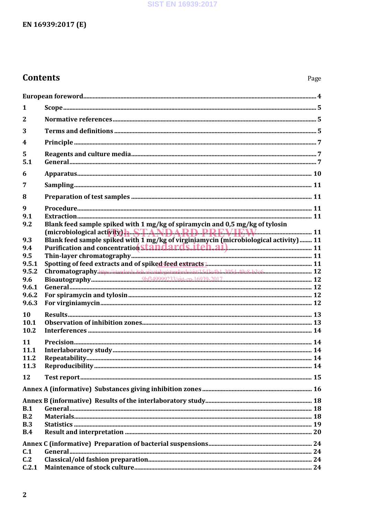# **SIST EN 16939:2017**

# EN 16939:2017 (E)

# **Contents**

| 1                       |                                                                                                                                                              |  |  |  |
|-------------------------|--------------------------------------------------------------------------------------------------------------------------------------------------------------|--|--|--|
| $\mathbf{2}$            |                                                                                                                                                              |  |  |  |
| 3                       |                                                                                                                                                              |  |  |  |
| $\overline{\mathbf{4}}$ |                                                                                                                                                              |  |  |  |
| 5                       |                                                                                                                                                              |  |  |  |
| 5.1                     |                                                                                                                                                              |  |  |  |
| 6                       |                                                                                                                                                              |  |  |  |
| 7                       |                                                                                                                                                              |  |  |  |
| 8                       |                                                                                                                                                              |  |  |  |
| 9                       |                                                                                                                                                              |  |  |  |
| 9.1                     |                                                                                                                                                              |  |  |  |
| 9.2                     | Blank feed sample spiked with 1 mg/kg of spiramycin and 0,5 mg/kg of tylosin<br>(microbiological activity) <b>h. S.T.A.N.D.A.R.D. P.P.F.V.IF.W.</b> 2000 211 |  |  |  |
| 9.3                     | Blank feed sample spiked with 1 mg/kg of virginiamycin (microbiological activity) 11                                                                         |  |  |  |
| 9.4                     |                                                                                                                                                              |  |  |  |
| 9.5                     |                                                                                                                                                              |  |  |  |
| 9.5.1                   |                                                                                                                                                              |  |  |  |
| 9.5.2                   | Chromatography.https://standards.iteb.ai/catalog/standards/sist/15d3c4b1-305d-49c8-b3c6- 12                                                                  |  |  |  |
| 9.6                     |                                                                                                                                                              |  |  |  |
| 9.6.1                   |                                                                                                                                                              |  |  |  |
| 9.6.2                   |                                                                                                                                                              |  |  |  |
| 9.6.3                   |                                                                                                                                                              |  |  |  |
| 10                      |                                                                                                                                                              |  |  |  |
|                         |                                                                                                                                                              |  |  |  |
| 10.1                    |                                                                                                                                                              |  |  |  |
| 10.2                    |                                                                                                                                                              |  |  |  |
| 11                      |                                                                                                                                                              |  |  |  |
| 11.1                    |                                                                                                                                                              |  |  |  |
| 11.2                    |                                                                                                                                                              |  |  |  |
| 11.3                    |                                                                                                                                                              |  |  |  |
| 12                      |                                                                                                                                                              |  |  |  |
|                         |                                                                                                                                                              |  |  |  |
|                         |                                                                                                                                                              |  |  |  |
| B.1                     |                                                                                                                                                              |  |  |  |
| B.2                     |                                                                                                                                                              |  |  |  |
| B.3                     |                                                                                                                                                              |  |  |  |
| B.4                     |                                                                                                                                                              |  |  |  |
|                         |                                                                                                                                                              |  |  |  |
| C.1                     |                                                                                                                                                              |  |  |  |
| C <sub>12</sub>         |                                                                                                                                                              |  |  |  |
| C.2.1                   |                                                                                                                                                              |  |  |  |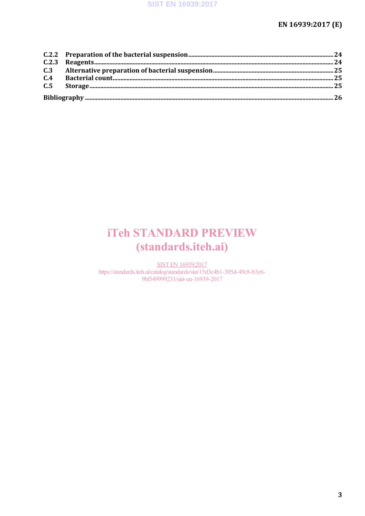# EN 16939:2017 (E)

# **iTeh STANDARD PREVIEW** (standards.iteh.ai)

**SIST EN 16939:2017** https://standards.iteh.ai/catalog/standards/sist/15d3c4b1-305d-49c8-b3c6-9bf349999233/sist-en-16939-2017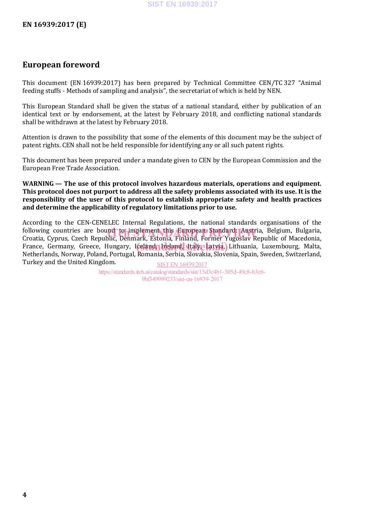# **European foreword**

This document (EN 16939:2017) has been prepared by Technical Committee CEN/TC 327 "Animal feeding stuffs - Methods of sampling and analysis", the secretariat of which is held by NEN.

This European Standard shall be given the status of a national standard, either by publication of an identical text or by endorsement, at the latest by February 2018, and conflicting national standards shall be withdrawn at the latest by February 2018.

Attention is drawn to the possibility that some of the elements of this document may be the subject of patent rights. CEN shall not be held responsible for identifying any or all such patent rights.

This document has been prepared under a mandate given to CEN by the European Commission and the European Free Trade Association.

**WARNING — The use of this protocol involves hazardous materials, operations and equipment. This protocol does not purport to address all the safety problems associated with its use. It is the responsibility of the user of this protocol to establish appropriate safety and health practices and determine the applicability of regulatory limitations prior to use.**

According to the CEN-CENELEC Internal Regulations, the national standards organisations of the following countries are bound to implement this European Standard: Austria, Belgium, Bulgaria,<br>Croatia Cynrus Czech Republic Denmark Estonia Finland Former Yugoslav Republic of Macedonia. Croatia, Cyprus, Czech Republic, Denmark, Estonia, Finland, Former Yugoslav Republic of Macedonia, France, Germany, Greece, Hungary, Iceland, Ireland, Italy, Latvia, Luxembourg, Malta, Ireland, Italy, Italy, Italy, Italy, Italy, Italyania, Luxembourg, Malta, Netherlands, Norway, Poland, Portugal, Romania, Serbia, Slovakia, Slovenia, Spain, Sweden, Switzerland, Turkey and the United Kingdom.

SIST EN 16939:2017 https://standards.iteh.ai/catalog/standards/sist/15d3c4b1-305d-49c8-b3c6- 9bf349999233/sist-en-16939-2017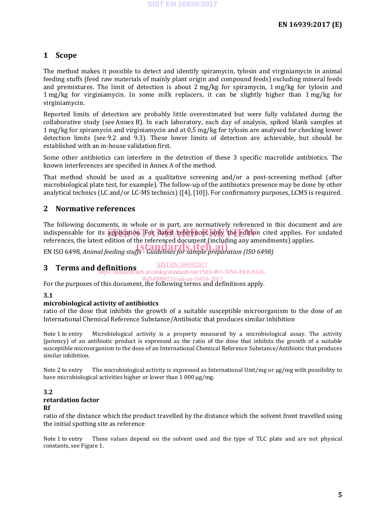# **1 Scope**

The method makes it possible to detect and identify spiramycin, tylosin and virginiamycin in animal feeding stuffs (feed raw materials of mainly plant origin and compound feeds) excluding mineral feeds and premixtures. The limit of detection is about 2 mg/kg for spiramycin, 1 mg/kg for tylosin and 1 mg/kg for virginiamycin. In some milk replacers, it can be slightly higher than 1 mg/kg for virginiamycin.

Reported limits of detection are probably little overestimated but were fully validated during the collaborative study (see Annex B). In each laboratory, each day of analysis, spiked blank samples at 1 mg/kg for spiramycin and virginiamycin and at 0,5 mg/kg for tylosin are analysed for checking lower detection limits (see 9.2 and 9.3). These lower limits of detection are achievable, but should be established with an in-house validation first.

Some other antibiotics can interfere in the detection of these 3 specific macrolide antibiotics. The known interferences are specified in Annex A of the method.

That method should be used as a qualitative screening and/or a post-screening method (after microbiological plate test, for example). The follow-up of the antibiotics presence may be done by other analytical technics (LC and/or LC-MS technics) ([4], [10]). For confirmatory purposes, LCMS is required.

# **2 Normative references**

The following documents, in whole or in part, are normatively referenced in this document and are indispensable for its application. For dated references, only the edition cited applies. For undated references, the latest edition of the referenced document (including any amendments) applies.

EN ISO 6498, *Animal feeding stuffs - Guidelines for sample preparation (ISO 6498)* (standards.iteh.ai)

# **3 Terms and definitions** SIST EN 16939:2017

https://standards.iteh.ai/catalog/standards/sist/15d3c4b1-305d-49c8-b3c6-

For the purposes of this document, the following terms and definitions apply. f349999233/sist-en-16939-20

## **3.1**

## **microbiological activity of antibiotics**

ratio of the dose that inhibits the growth of a suitable susceptible microorganism to the dose of an International Chemical Reference Substance/Antibiotic that produces similar inhibition

Note 1 to entry Microbiological activity is a property measured by a microbiological assay. The activity (potency) of an antibiotic product is expressed as the ratio of the dose that inhibits the growth of a suitable susceptible microorganism to the dose of an International Chemical Reference Substance/Antibiotic that produces similar inhibition.

Note 2 to entry The microbiological activity is expressed as International Unit/mg or µg/mg with possibility to have microbiological activities higher or lower than 1 000 µg/mg.

#### **3.2 retardation factor**

#### **Rf**

ratio of the distance which the product travelled by the distance which the solvent front travelled using the initial spotting site as reference

Note 1 to entry These values depend on the solvent used and the type of TLC plate and are not physical constants, see Figure 1.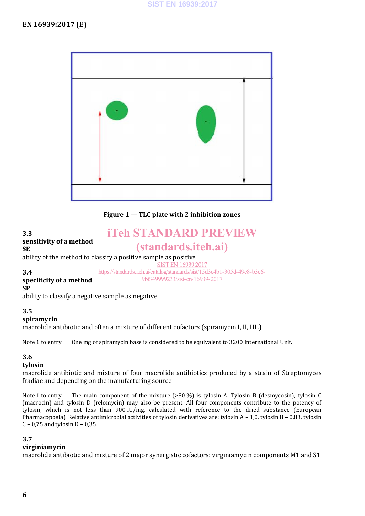

**Figure 1 — TLC plate with 2 inhibition zones**

#### **3.3 sensitivity of a method SE** ability of the method to classify a positive sample as positive **3.4 specificity of a method SP** ability to classify a negative sample as negative iTeh STANDARD PREVIEW (standards.iteh.ai) SIST EN 16939;2017 https://standards.iteh.ai/catalog/standards/sist/15d3c4b1-305d-49c8-b3c6- 9bf349999233/sist-en-16939-2017

# **3.5**

**spiramycin**

macrolide antibiotic and often a mixture of different cofactors (spiramycin I, II, III..)

Note 1 to entry One mg of spiramycin base is considered to be equivalent to 3200 International Unit.

## **3.6**

#### **tylosin**

macrolide antibiotic and mixture of four macrolide antibiotics produced by a strain of Streptomyces fradiae and depending on the manufacturing source

Note 1 to entry The main component of the mixture (>80 %) is tylosin A. Tylosin B (desmycosin), tylosin C (macrocin) and tylosin D (relomycin) may also be present. All four components contribute to the potency of tylosin, which is not less than 900 IU/mg, calculated with reference to the dried substance (European Pharmacopoeia). Relative antimicrobial activities of tylosin derivatives are: tylosin A – 1,0, tylosin B – 0,83, tylosin C – 0,75 and tylosin  $D - 0,35$ .

#### **3.7**

#### **virginiamycin**

macrolide antibiotic and mixture of 2 major synergistic cofactors: virginiamycin components M1 and S1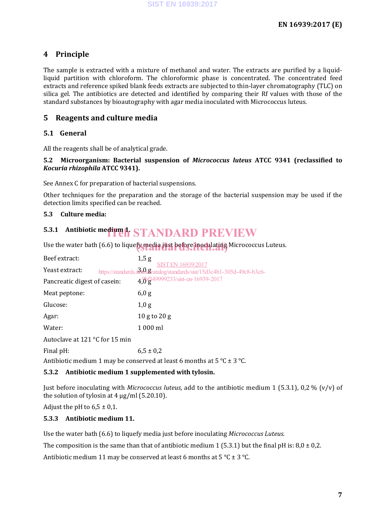# **4 Principle**

The sample is extracted with a mixture of methanol and water. The extracts are purified by a liquidliquid partition with chloroform. The chloroformic phase is concentrated. The concentrated feed extracts and reference spiked blank feeds extracts are subjected to thin-layer chromatography (TLC) on silica gel. The antibiotics are detected and identified by comparing their Rf values with those of the standard substances by bioautography with agar media inoculated with Micrococcus luteus.

# **5 Reagents and culture media**

# **5.1 General**

All the reagents shall be of analytical grade.

## **5.2 Microorganism: Bacterial suspension of** *Micrococcus luteus* **ATCC 9341 (reclassified to**  *Kocuria rhizophila* **ATCC 9341).**

See Annex C for preparation of bacterial suspensions.

Other techniques for the preparation and the storage of the bacterial suspension may be used if the detection limits specified can be reached.

## **5.3 Culture media:**

# **5.3.1 Antibiotic medium h STANDARD PREVIEW**

Use the water bath (6.6) to liquefy media just before inoculating Micrococcus Luteus.

| Beef extract:                  | 1,5g                                                                                                  |
|--------------------------------|-------------------------------------------------------------------------------------------------------|
| Yeast extract:                 | <b>SIST EN 16939:2017</b><br>https://standards.iddd.ascatalog/standards/sist/15d3c4b1-305d-49c8-b3c6- |
| Pancreatic digest of casein:   | 4,0 <sup>1</sup> g <sup>49999233/sist-en-16939-2017</sup>                                             |
| Meat peptone:                  | 6,0 g                                                                                                 |
| Glucose:                       | 1,0 g                                                                                                 |
| Agar:                          | $10$ g to $20$ g                                                                                      |
| Water:                         | 1 000 ml                                                                                              |
| Autoclave at 121 °C for 15 min |                                                                                                       |
| Final pH:                      | $6.5 \pm 0.2$                                                                                         |
|                                | $\mathbf{1}$ and $\mathbf{1}$ and $\mathbf{1}$ and $\mathbf{1}$                                       |

Antibiotic medium 1 may be conserved at least 6 months at  $5^{\circ}$ C  $\pm$  3 °C.

## **5.3.2 Antibiotic medium 1 supplemented with tylosin.**

Just before inoculating with *Micrococcus luteus*, add to the antibiotic medium 1 (5.3.1), 0,2 % (v/v) of the solution of tylosin at  $4 \mu g/ml$  (5.20.10).

Adjust the pH to  $6.5 \pm 0.1$ .

## **5.3.3 Antibiotic medium 11.**

Use the water bath (6.6) to liquefy media just before inoculating *Micrococcus Luteus*.

The composition is the same than that of antibiotic medium 1 (5.3.1) but the final pH is:  $8.0 \pm 0.2$ .

Antibiotic medium 11 may be conserved at least 6 months at  $5^{\circ}$ C  $\pm$  3 °C.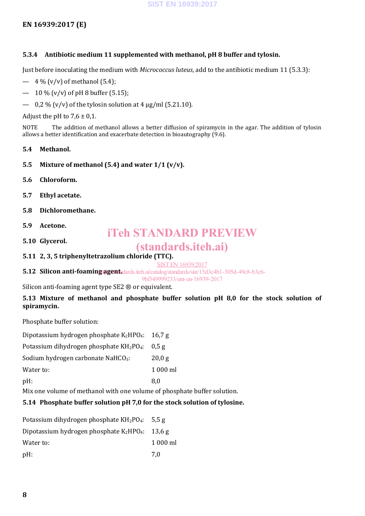# **EN 16939:2017 (E)**

## **5.3.4 Antibiotic medium 11 supplemented with methanol, pH 8 buffer and tylosin.**

Just before inoculating the medium with *Micrococcus luteus*, add to the antibiotic medium 11 (5.3.3):

- $-4\%$  (v/v) of methanol (5.4);
- $-10\%$  (v/v) of pH 8 buffer (5.15);
- $-$  0.2 % (v/v) of the tylosin solution at 4 ug/ml (5.21.10).

Adjust the pH to  $7.6 \pm 0.1$ .

NOTE The addition of methanol allows a better diffusion of spiramycin in the agar. The addition of tylosin allows a better identification and exacerbate detection in bioautography (9.6).

- **5.4 Methanol.**
- **5.5 Mixture of methanol (5.4) and water 1/1 (v/v).**
- **5.6 Chloroform.**
- **5.7 Ethyl acetate.**
- **5.8 Dichloromethane.**
- **5.9 Acetone.**
- **5.10 Glycerol.**

# iTeh STANDARD PREVIEW

# (standards.iteh.ai)

**5.11 2, 3, 5 triphenyltetrazolium chloride (TTC).**

SIST EN 16939:2017

**5.12 Silicon anti-foaming agent.** dards. iteh. ai/catalog/standards/sist/15d3c4b1-305d-49c8-b3c6-

9bf349999233/sist-en-16939-2017

Silicon anti-foaming agent type SE2 ® or equivalent.

## **5.13 Mixture of methanol and phosphate buffer solution pH 8,0 for the stock solution of spiramycin.**

Phosphate buffer solution:

| Dipotassium hydrogen phosphate K <sub>2</sub> HPO <sub>4</sub> : 16,7 g |
|-------------------------------------------------------------------------|
|                                                                         |

Potassium dihydrogen phosphate KH<sub>2</sub>PO<sub>4</sub>: 0.5 g

Sodium hydrogen carbonate NaHCO<sub>3</sub>: 20,0 g

Water to: 1 000 ml

 $pH:$  8,0

Mix one volume of methanol with one volume of phosphate buffer solution.

## **5.14 Phosphate buffer solution pH 7,0 for the stock solution of tylosine.**

| Potassium dihydrogen phosphate $KH_2PO_4$ : 5,5 g  |          |
|----------------------------------------------------|----------|
| Dipotassium hydrogen phosphate $K_2HPO_4$ : 13,6 g |          |
| Water to:                                          | 1 000 ml |
| $pH$ :                                             | 7.0      |